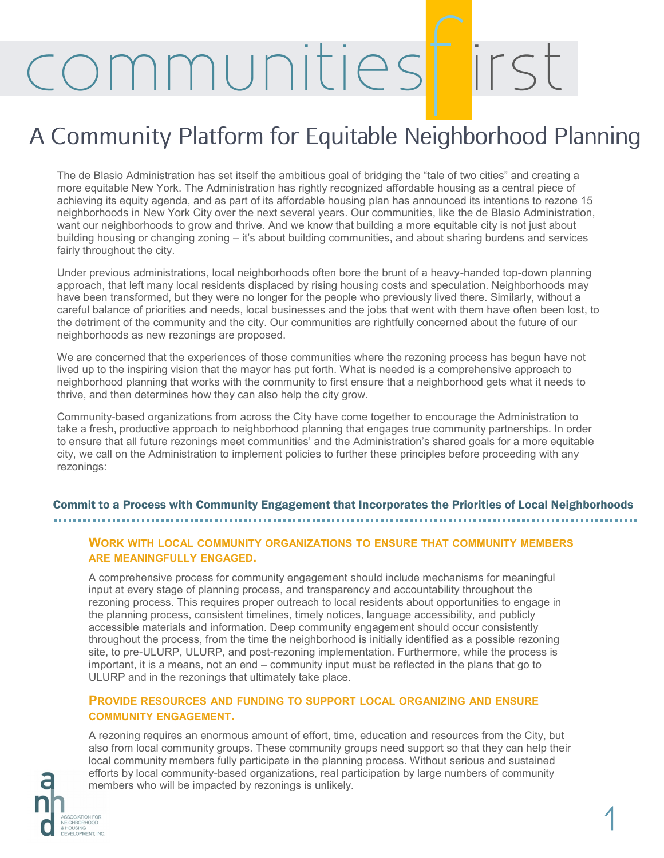## ommunities

## A Community Platform for Equitable Neighborhood Planning

The de Blasio Administration has set itself the ambitious goal of bridging the "tale of two cities" and creating a more equitable New York. The Administration has rightly recognized affordable housing as a central piece of achieving its equity agenda, and as part of its affordable housing plan has announced its intentions to rezone 15 neighborhoods in New York City over the next several years. Our communities, like the de Blasio Administration, want our neighborhoods to grow and thrive. And we know that building a more equitable city is not just about building housing or changing zoning – it's about building communities, and about sharing burdens and services fairly throughout the city.

Under previous administrations, local neighborhoods often bore the brunt of a heavy-handed top-down planning approach, that left many local residents displaced by rising housing costs and speculation. Neighborhoods may have been transformed, but they were no longer for the people who previously lived there. Similarly, without a careful balance of priorities and needs, local businesses and the jobs that went with them have often been lost, to the detriment of the community and the city. Our communities are rightfully concerned about the future of our neighborhoods as new rezonings are proposed.

We are concerned that the experiences of those communities where the rezoning process has begun have not lived up to the inspiring vision that the mayor has put forth. What is needed is a comprehensive approach to neighborhood planning that works with the community to first ensure that a neighborhood gets what it needs to thrive, and then determines how they can also help the city grow.

Community-based organizations from across the City have come together to encourage the Administration to take a fresh, productive approach to neighborhood planning that engages true community partnerships. In order to ensure that all future rezonings meet communities' and the Administration's shared goals for a more equitable city, we call on the Administration to implement policies to further these principles before proceeding with any rezonings:

#### Commit to a Process with Community Engagement that Incorporates the Priorities of Local Neighborhoods

#### **WORK WITH LOCAL COMMUNITY ORGANIZATIONS TO ENSURE THAT COMMUNITY MEMBERS ARE MEANINGFULLY ENGAGED.**

A comprehensive process for community engagement should include mechanisms for meaningful input at every stage of planning process, and transparency and accountability throughout the rezoning process. This requires proper outreach to local residents about opportunities to engage in the planning process, consistent timelines, timely notices, language accessibility, and publicly accessible materials and information. Deep community engagement should occur consistently throughout the process, from the time the neighborhood is initially identified as a possible rezoning site, to pre-ULURP, ULURP, and post-rezoning implementation. Furthermore, while the process is important, it is a means, not an end – community input must be reflected in the plans that go to ULURP and in the rezonings that ultimately take place.

#### **PROVIDE RESOURCES AND FUNDING TO SUPPORT LOCAL ORGANIZING AND ENSURE COMMUNITY ENGAGEMENT.**

A rezoning requires an enormous amount of effort, time, education and resources from the City, but also from local community groups. These community groups need support so that they can help their local community members fully participate in the planning process. Without serious and sustained efforts by local community-based organizations, real participation by large numbers of community members who will be impacted by rezonings is unlikely.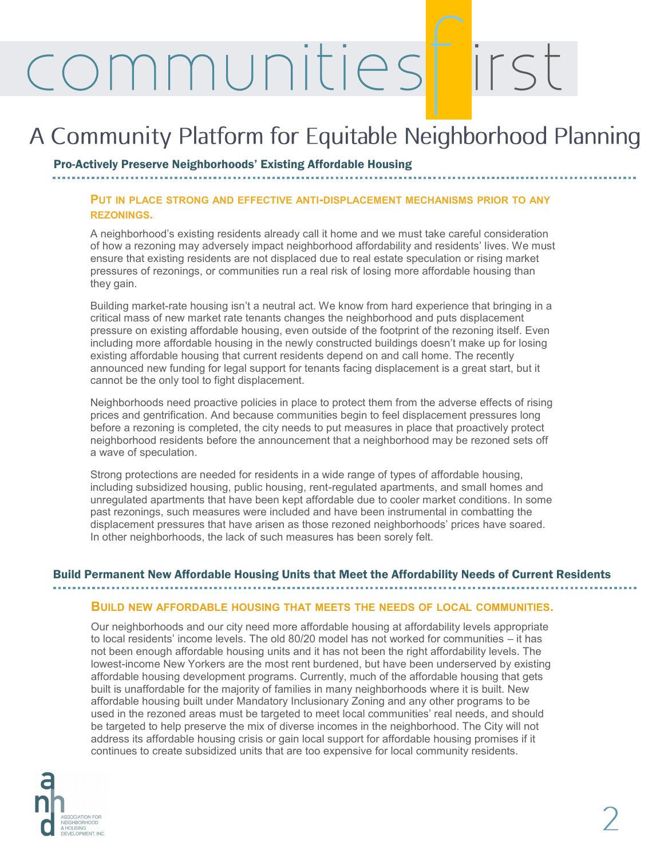## ommunities

### A Community Platform for Equitable Neighborhood Planning

Pro-Actively Preserve Neighborhoods' Existing Affordable Housing

#### **PUT IN PLACE STRONG AND EFFECTIVE ANTI-DISPLACEMENT MECHANISMS PRIOR TO ANY REZONINGS.**

A neighborhood's existing residents already call it home and we must take careful consideration of how a rezoning may adversely impact neighborhood affordability and residents' lives. We must ensure that existing residents are not displaced due to real estate speculation or rising market pressures of rezonings, or communities run a real risk of losing more affordable housing than they gain.

Building market-rate housing isn't a neutral act. We know from hard experience that bringing in a critical mass of new market rate tenants changes the neighborhood and puts displacement pressure on existing affordable housing, even outside of the footprint of the rezoning itself. Even including more affordable housing in the newly constructed buildings doesn't make up for losing existing affordable housing that current residents depend on and call home. The recently announced new funding for legal support for tenants facing displacement is a great start, but it cannot be the only tool to fight displacement.

Neighborhoods need proactive policies in place to protect them from the adverse effects of rising prices and gentrification. And because communities begin to feel displacement pressures long before a rezoning is completed, the city needs to put measures in place that proactively protect neighborhood residents before the announcement that a neighborhood may be rezoned sets off a wave of speculation.

Strong protections are needed for residents in a wide range of types of affordable housing, including subsidized housing, public housing, rent-regulated apartments, and small homes and unregulated apartments that have been kept affordable due to cooler market conditions. In some past rezonings, such measures were included and have been instrumental in combatting the displacement pressures that have arisen as those rezoned neighborhoods' prices have soared. In other neighborhoods, the lack of such measures has been sorely felt.

#### Build Permanent New Affordable Housing Units that Meet the Affordability Needs of Current Residents

#### **BUILD NEW AFFORDABLE HOUSING THAT MEETS THE NEEDS OF LOCAL COMMUNITIES.**

Our neighborhoods and our city need more affordable housing at affordability levels appropriate to local residents' income levels. The old 80/20 model has not worked for communities – it has not been enough affordable housing units and it has not been the right affordability levels. The lowest-income New Yorkers are the most rent burdened, but have been underserved by existing affordable housing development programs. Currently, much of the affordable housing that gets built is unaffordable for the majority of families in many neighborhoods where it is built. New affordable housing built under Mandatory Inclusionary Zoning and any other programs to be used in the rezoned areas must be targeted to meet local communities' real needs, and should be targeted to help preserve the mix of diverse incomes in the neighborhood. The City will not address its affordable housing crisis or gain local support for affordable housing promises if it continues to create subsidized units that are too expensive for local community residents.

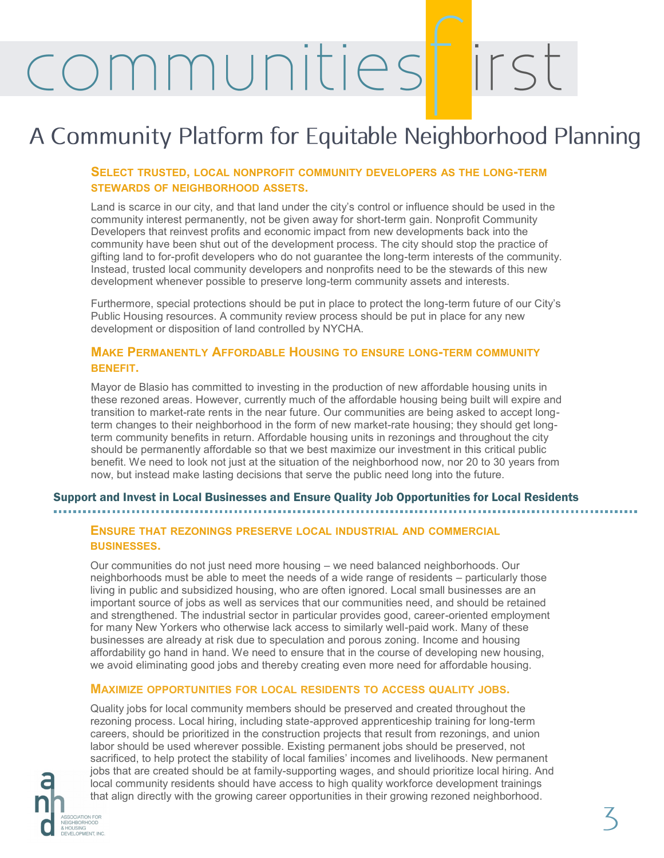# communities

### A Community Platform for Equitable Neighborhood Planning

#### **SELECT TRUSTED, LOCAL NONPROFIT COMMUNITY DEVELOPERS AS THE LONG-TERM STEWARDS OF NEIGHBORHOOD ASSETS.**

Land is scarce in our city, and that land under the city's control or influence should be used in the community interest permanently, not be given away for short-term gain. Nonprofit Community Developers that reinvest profits and economic impact from new developments back into the community have been shut out of the development process. The city should stop the practice of gifting land to for-profit developers who do not guarantee the long-term interests of the community. Instead, trusted local community developers and nonprofits need to be the stewards of this new development whenever possible to preserve long-term community assets and interests.

Furthermore, special protections should be put in place to protect the long-term future of our City's Public Housing resources. A community review process should be put in place for any new development or disposition of land controlled by NYCHA.

#### **MAKE PERMANENTLY AFFORDABLE HOUSING TO ENSURE LONG-TERM COMMUNITY BENEFIT.**

Mayor de Blasio has committed to investing in the production of new affordable housing units in these rezoned areas. However, currently much of the affordable housing being built will expire and transition to market-rate rents in the near future. Our communities are being asked to accept longterm changes to their neighborhood in the form of new market-rate housing; they should get longterm community benefits in return. Affordable housing units in rezonings and throughout the city should be permanently affordable so that we best maximize our investment in this critical public benefit. We need to look not just at the situation of the neighborhood now, nor 20 to 30 years from now, but instead make lasting decisions that serve the public need long into the future.

#### Support and Invest in Local Businesses and Ensure Quality Job Opportunities for Local Residents

#### **ENSURE THAT REZONINGS PRESERVE LOCAL INDUSTRIAL AND COMMERCIAL BUSINESSES.**

Our communities do not just need more housing – we need balanced neighborhoods. Our neighborhoods must be able to meet the needs of a wide range of residents – particularly those living in public and subsidized housing, who are often ignored. Local small businesses are an important source of jobs as well as services that our communities need, and should be retained and strengthened. The industrial sector in particular provides good, career-oriented employment for many New Yorkers who otherwise lack access to similarly well-paid work. Many of these businesses are already at risk due to speculation and porous zoning. Income and housing affordability go hand in hand. We need to ensure that in the course of developing new housing, we avoid eliminating good jobs and thereby creating even more need for affordable housing.

#### **MAXIMIZE OPPORTUNITIES FOR LOCAL RESIDENTS TO ACCESS QUALITY JOBS.**

**OCIATION FOR EIGHRORHOOD** HOUSING<br>VELOPMENT, INC.

Quality jobs for local community members should be preserved and created throughout the rezoning process. Local hiring, including state-approved apprenticeship training for long-term careers, should be prioritized in the construction projects that result from rezonings, and union labor should be used wherever possible. Existing permanent jobs should be preserved, not sacrificed, to help protect the stability of local families' incomes and livelihoods. New permanent jobs that are created should be at family-supporting wages, and should prioritize local hiring. And local community residents should have access to high quality workforce development trainings that align directly with the growing career opportunities in their growing rezoned neighborhood.